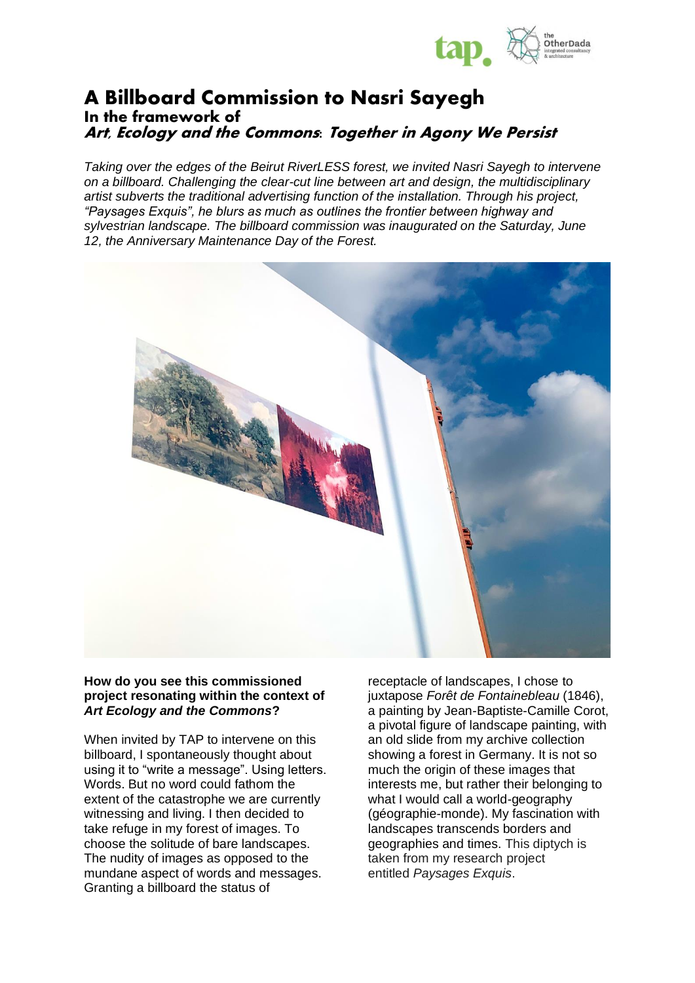

## **A Billboard Commission to Nasri Sayegh In the framework of Art, Ecology and the Commons: Together in Agony We Persist**

*Taking over the edges of the Beirut RiverLESS forest, we invited Nasri Sayegh to intervene on a billboard. Challenging the clear-cut line between art and design, the multidisciplinary artist subverts the traditional advertising function of the installation. Through his project, "Paysages Exquis", he blurs as much as outlines the frontier between highway and sylvestrian landscape. The billboard commission was inaugurated on the Saturday, June 12, the Anniversary Maintenance Day of the Forest.*



## **How do you see this commissioned project resonating within the context of**  *Art Ecology and the Commons***?**

When invited by TAP to intervene on this billboard, I spontaneously thought about using it to "write a message". Using letters. Words. But no word could fathom the extent of the catastrophe we are currently witnessing and living. I then decided to take refuge in my forest of images. To choose the solitude of bare landscapes. The nudity of images as opposed to the mundane aspect of words and messages. Granting a billboard the status of

receptacle of landscapes, I chose to juxtapose *Forêt de Fontainebleau* (1846), a painting by Jean-Baptiste-Camille Corot, a pivotal figure of landscape painting, with an old slide from my archive collection showing a forest in Germany. It is not so much the origin of these images that interests me, but rather their belonging to what I would call a world-geography (géographie-monde). My fascination with landscapes transcends borders and geographies and times. This diptych is taken from my research project entitled *Paysages Exquis*.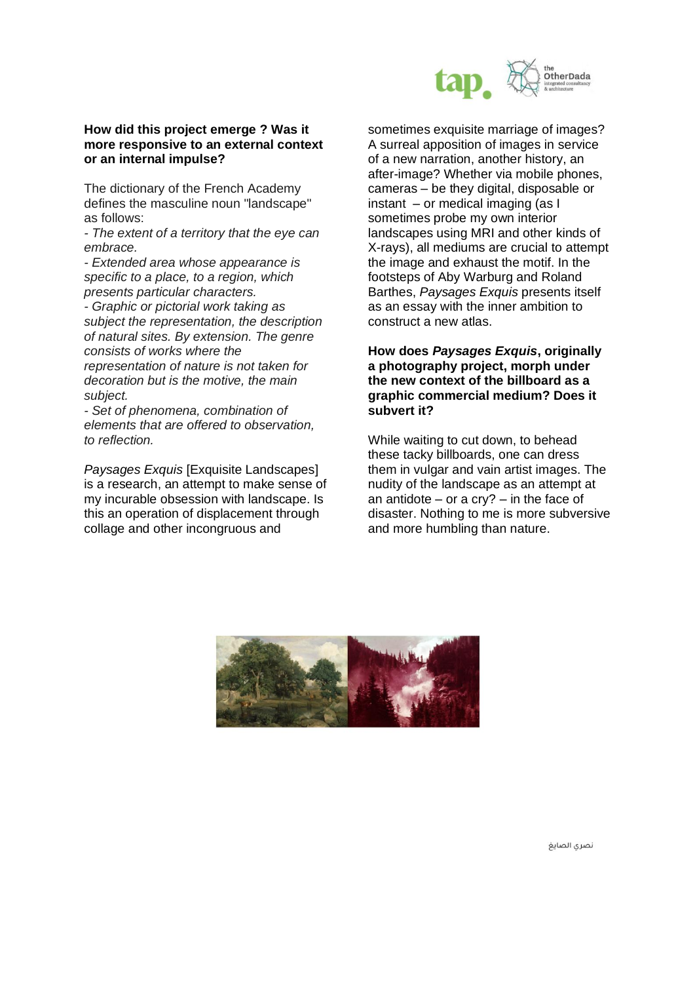

## **How did this project emerge ? Was it more responsive to an external context or an internal impulse?**

The dictionary of the French Academy defines the masculine noun "landscape" as follows:

*- The extent of a territory that the eye can embrace.*

*- Extended area whose appearance is specific to a place, to a region, which presents particular characters.*

*- Graphic or pictorial work taking as subject the representation, the description of natural sites. By extension. The genre consists of works where the representation of nature is not taken for decoration but is the motive, the main subject.*

*- Set of phenomena, combination of elements that are offered to observation, to reflection.*

*Paysages Exquis* [Exquisite Landscapes] is a research, an attempt to make sense of my incurable obsession with landscape. Is this an operation of displacement through collage and other incongruous and

sometimes exquisite marriage of images? A surreal apposition of images in service of a new narration, another history, an after-image? Whether via mobile phones, cameras – be they digital, disposable or instant – or medical imaging (as I sometimes probe my own interior landscapes using MRI and other kinds of X-rays), all mediums are crucial to attempt the image and exhaust the motif. In the footsteps of Aby Warburg and Roland Barthes, *Paysages Exquis* presents itself as an essay with the inner ambition to construct a new atlas.

## **How does** *Paysages Exquis***, originally a photography project, morph under the new context of the billboard as a graphic commercial medium? Does it subvert it?**

While waiting to cut down, to behead these tacky billboards, one can dress them in vulgar and vain artist images. The nudity of the landscape as an attempt at an antidote  $-$  or a cry?  $-$  in the face of disaster. Nothing to me is more subversive and more humbling than nature.